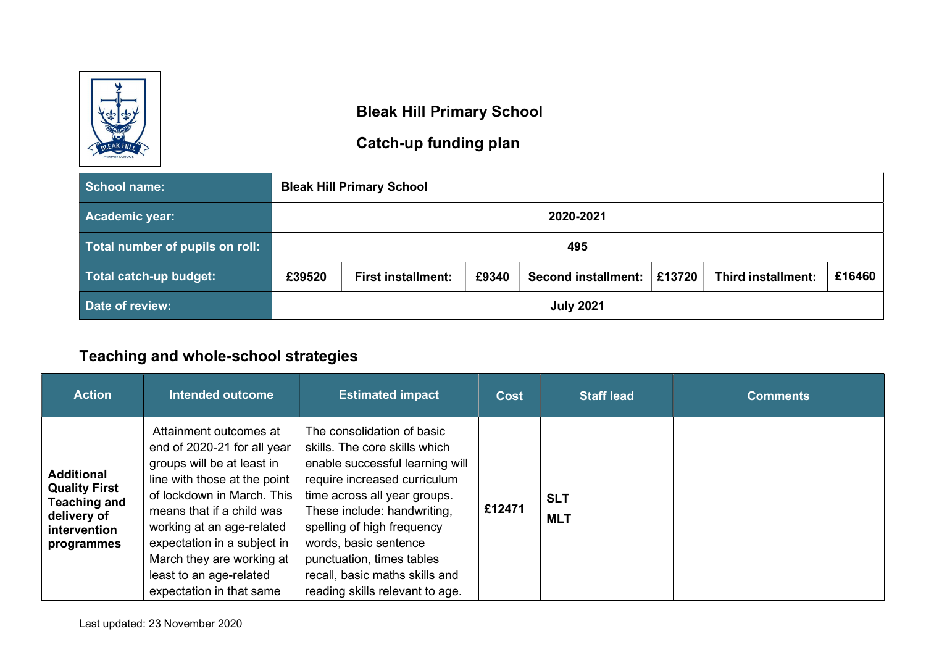

#### Bleak Hill Primary School

# Catch-up funding plan

| <b>School name:</b>             | <b>Bleak Hill Primary School</b>                                                                                            |                  |  |  |  |  |  |  |
|---------------------------------|-----------------------------------------------------------------------------------------------------------------------------|------------------|--|--|--|--|--|--|
| <b>Academic year:</b>           |                                                                                                                             | 2020-2021        |  |  |  |  |  |  |
| Total number of pupils on roll: | 495                                                                                                                         |                  |  |  |  |  |  |  |
| Total catch-up budget:          | £16460<br>£13720<br><b>Third installment:</b><br>£39520<br>£9340<br><b>Second installment:</b><br><b>First installment:</b> |                  |  |  |  |  |  |  |
| Date of review:                 |                                                                                                                             | <b>July 2021</b> |  |  |  |  |  |  |

# Teaching and whole-school strategies

| <b>Action</b>                                                                                                 | <b>Intended outcome</b>                                                                                                                                                                                                                                                                                                        | <b>Estimated impact</b>                                                                                                                                                                                                                                                                                                                                | <b>Cost</b> | <b>Staff lead</b>        | <b>Comments</b> |
|---------------------------------------------------------------------------------------------------------------|--------------------------------------------------------------------------------------------------------------------------------------------------------------------------------------------------------------------------------------------------------------------------------------------------------------------------------|--------------------------------------------------------------------------------------------------------------------------------------------------------------------------------------------------------------------------------------------------------------------------------------------------------------------------------------------------------|-------------|--------------------------|-----------------|
| <b>Additional</b><br><b>Quality First</b><br><b>Teaching and</b><br>delivery of<br>intervention<br>programmes | Attainment outcomes at<br>end of 2020-21 for all year<br>groups will be at least in<br>line with those at the point<br>of lockdown in March. This<br>means that if a child was<br>working at an age-related<br>expectation in a subject in<br>March they are working at<br>least to an age-related<br>expectation in that same | The consolidation of basic<br>skills. The core skills which<br>enable successful learning will<br>require increased curriculum<br>time across all year groups.<br>These include: handwriting,<br>spelling of high frequency<br>words, basic sentence<br>punctuation, times tables<br>recall, basic maths skills and<br>reading skills relevant to age. | £12471      | <b>SLT</b><br><b>MLT</b> |                 |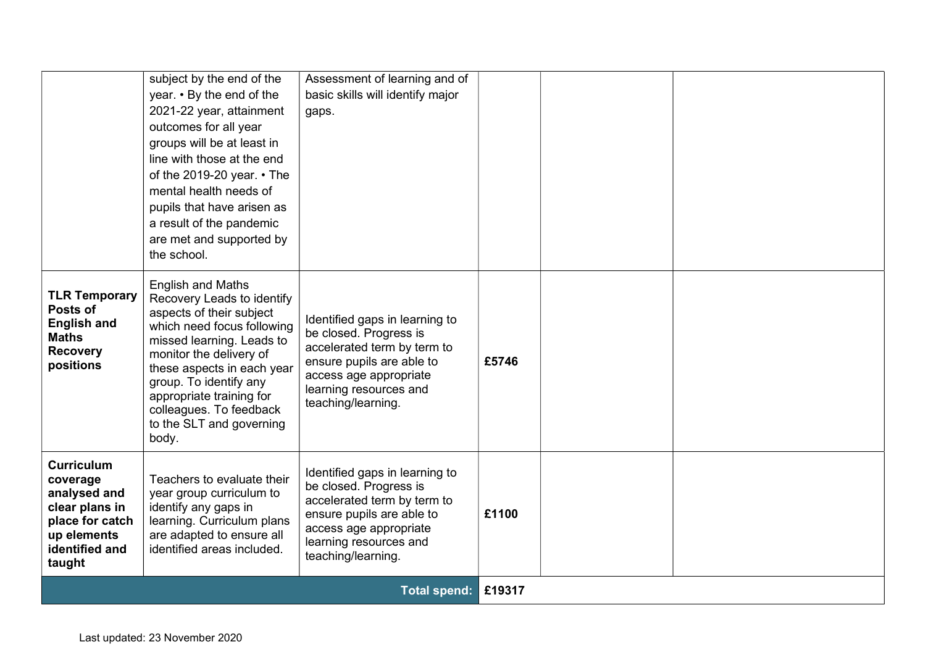|                                                                                                                               | subject by the end of the<br>year. • By the end of the<br>2021-22 year, attainment<br>outcomes for all year<br>groups will be at least in<br>line with those at the end<br>of the 2019-20 year. $\cdot$ The<br>mental health needs of<br>pupils that have arisen as<br>a result of the pandemic<br>are met and supported by<br>the school. | Assessment of learning and of<br>basic skills will identify major<br>gaps.                                                                                                                     |       |  |
|-------------------------------------------------------------------------------------------------------------------------------|--------------------------------------------------------------------------------------------------------------------------------------------------------------------------------------------------------------------------------------------------------------------------------------------------------------------------------------------|------------------------------------------------------------------------------------------------------------------------------------------------------------------------------------------------|-------|--|
| <b>TLR Temporary</b><br>Posts of<br><b>English and</b><br><b>Maths</b><br><b>Recovery</b><br>positions                        | <b>English and Maths</b><br>Recovery Leads to identify<br>aspects of their subject<br>which need focus following<br>missed learning. Leads to<br>monitor the delivery of<br>these aspects in each year<br>group. To identify any<br>appropriate training for<br>colleagues. To feedback<br>to the SLT and governing<br>body.               | Identified gaps in learning to<br>be closed. Progress is<br>accelerated term by term to<br>ensure pupils are able to<br>access age appropriate<br>learning resources and<br>teaching/learning. | £5746 |  |
| <b>Curriculum</b><br>coverage<br>analysed and<br>clear plans in<br>place for catch<br>up elements<br>identified and<br>taught | Teachers to evaluate their<br>year group curriculum to<br>identify any gaps in<br>learning. Curriculum plans<br>are adapted to ensure all<br>identified areas included.                                                                                                                                                                    | Identified gaps in learning to<br>be closed. Progress is<br>accelerated term by term to<br>ensure pupils are able to<br>access age appropriate<br>learning resources and<br>teaching/learning. | £1100 |  |
|                                                                                                                               | <b>Total spend:</b>                                                                                                                                                                                                                                                                                                                        |                                                                                                                                                                                                |       |  |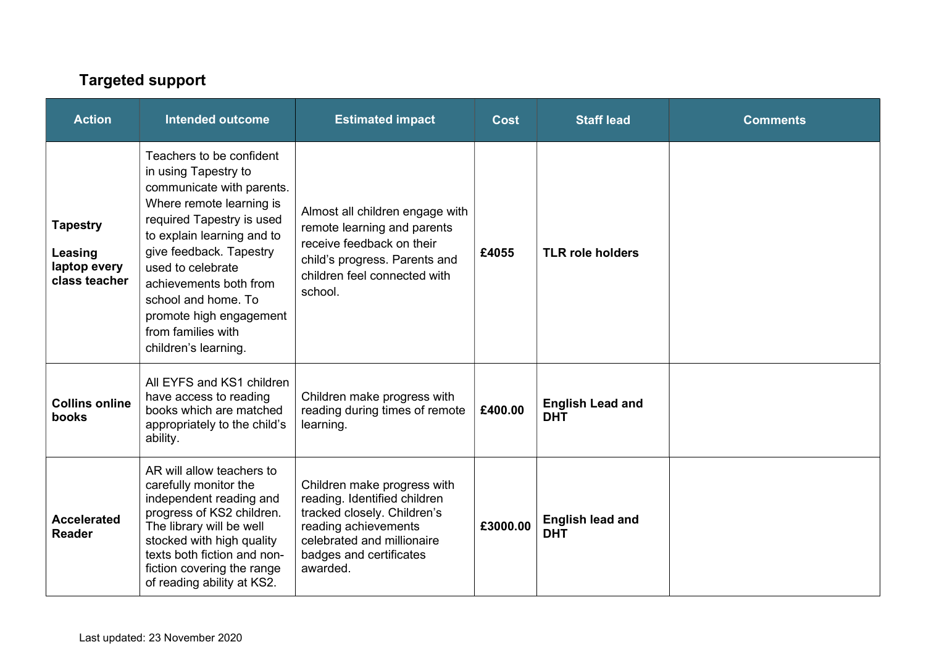# Targeted support

| <b>Action</b>                                               | <b>Intended outcome</b>                                                                                                                                                                                                                                                                                                                        | <b>Estimated impact</b>                                                                                                                                                                 | <b>Cost</b> | <b>Staff lead</b>                     | <b>Comments</b> |
|-------------------------------------------------------------|------------------------------------------------------------------------------------------------------------------------------------------------------------------------------------------------------------------------------------------------------------------------------------------------------------------------------------------------|-----------------------------------------------------------------------------------------------------------------------------------------------------------------------------------------|-------------|---------------------------------------|-----------------|
| <b>Tapestry</b><br>Leasing<br>laptop every<br>class teacher | Teachers to be confident<br>in using Tapestry to<br>communicate with parents.<br>Where remote learning is<br>required Tapestry is used<br>to explain learning and to<br>give feedback. Tapestry<br>used to celebrate<br>achievements both from<br>school and home. To<br>promote high engagement<br>from families with<br>children's learning. | Almost all children engage with<br>remote learning and parents<br>receive feedback on their<br>child's progress. Parents and<br>children feel connected with<br>school.                 | £4055       | <b>TLR role holders</b>               |                 |
| <b>Collins online</b><br>books                              | All EYFS and KS1 children<br>have access to reading<br>books which are matched<br>appropriately to the child's<br>ability.                                                                                                                                                                                                                     | Children make progress with<br>reading during times of remote<br>learning.                                                                                                              | £400.00     | <b>English Lead and</b><br><b>DHT</b> |                 |
| <b>Accelerated</b><br><b>Reader</b>                         | AR will allow teachers to<br>carefully monitor the<br>independent reading and<br>progress of KS2 children.<br>The library will be well<br>stocked with high quality<br>texts both fiction and non-<br>fiction covering the range<br>of reading ability at KS2.                                                                                 | Children make progress with<br>reading. Identified children<br>tracked closely. Children's<br>reading achievements<br>celebrated and millionaire<br>badges and certificates<br>awarded. | £3000.00    | <b>English lead and</b><br><b>DHT</b> |                 |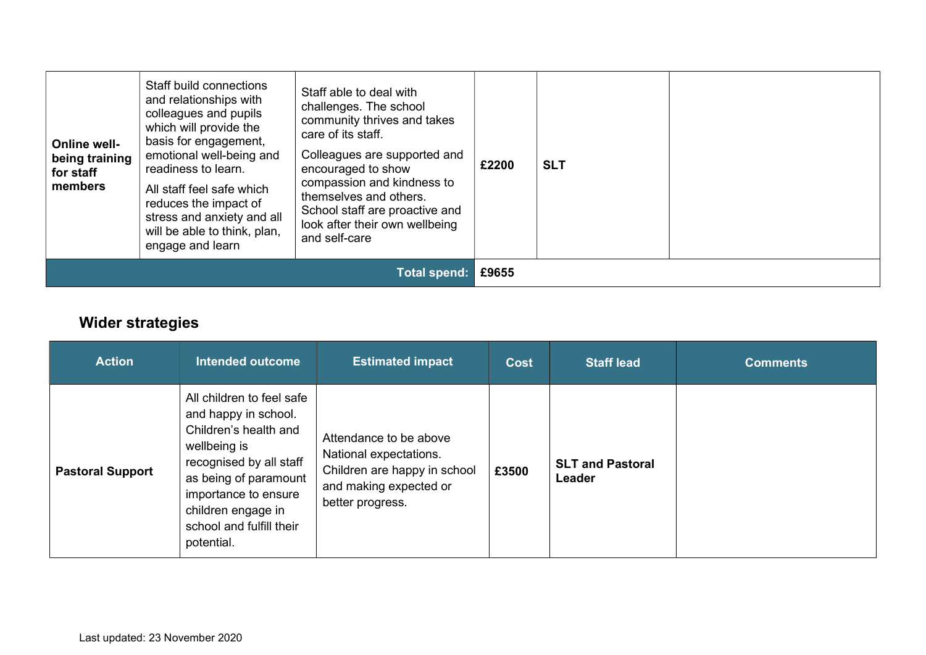| <b>Online well-</b><br>being training<br>for staff<br>members | Staff build connections<br>and relationships with<br>colleagues and pupils<br>which will provide the<br>basis for engagement,<br>emotional well-being and<br>readiness to learn.<br>All staff feel safe which<br>reduces the impact of<br>stress and anxiety and all<br>will be able to think, plan,<br>engage and learn | Staff able to deal with<br>challenges. The school<br>community thrives and takes<br>care of its staff.<br>Colleagues are supported and<br>encouraged to show<br>compassion and kindness to<br>themselves and others.<br>School staff are proactive and<br>look after their own wellbeing<br>and self-care | £2200 | <b>SLT</b> |  |
|---------------------------------------------------------------|--------------------------------------------------------------------------------------------------------------------------------------------------------------------------------------------------------------------------------------------------------------------------------------------------------------------------|-----------------------------------------------------------------------------------------------------------------------------------------------------------------------------------------------------------------------------------------------------------------------------------------------------------|-------|------------|--|
| Total spend:                                                  |                                                                                                                                                                                                                                                                                                                          |                                                                                                                                                                                                                                                                                                           | £9655 |            |  |

# Wider strategies

| <b>Action</b>           | <b>Intended outcome</b>                                                                                                                                                                                                                | <b>Estimated impact</b>                                                                                                        | <b>Cost</b> | <b>Staff lead</b>                 | <b>Comments</b> |
|-------------------------|----------------------------------------------------------------------------------------------------------------------------------------------------------------------------------------------------------------------------------------|--------------------------------------------------------------------------------------------------------------------------------|-------------|-----------------------------------|-----------------|
| <b>Pastoral Support</b> | All children to feel safe<br>and happy in school.<br>Children's health and<br>wellbeing is<br>recognised by all staff<br>as being of paramount<br>importance to ensure<br>children engage in<br>school and fulfill their<br>potential. | Attendance to be above<br>National expectations.<br>Children are happy in school<br>and making expected or<br>better progress. | £3500       | <b>SLT and Pastoral</b><br>Leader |                 |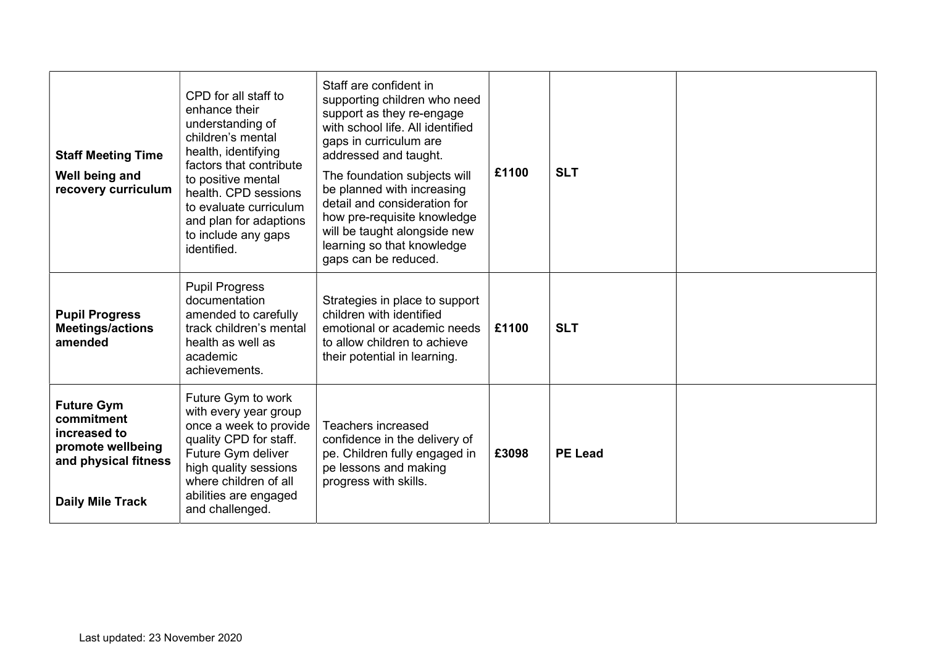| <b>Staff Meeting Time</b><br>Well being and<br>recovery curriculum                                                      | CPD for all staff to<br>enhance their<br>understanding of<br>children's mental<br>health, identifying<br>factors that contribute<br>to positive mental<br>health. CPD sessions<br>to evaluate curriculum<br>and plan for adaptions<br>to include any gaps<br>identified. | Staff are confident in<br>supporting children who need<br>support as they re-engage<br>with school life. All identified<br>gaps in curriculum are<br>addressed and taught.<br>The foundation subjects will<br>be planned with increasing<br>detail and consideration for<br>how pre-requisite knowledge<br>will be taught alongside new<br>learning so that knowledge<br>gaps can be reduced. | £1100 | <b>SLT</b>     |  |
|-------------------------------------------------------------------------------------------------------------------------|--------------------------------------------------------------------------------------------------------------------------------------------------------------------------------------------------------------------------------------------------------------------------|-----------------------------------------------------------------------------------------------------------------------------------------------------------------------------------------------------------------------------------------------------------------------------------------------------------------------------------------------------------------------------------------------|-------|----------------|--|
| <b>Pupil Progress</b><br><b>Meetings/actions</b><br>amended                                                             | <b>Pupil Progress</b><br>documentation<br>amended to carefully<br>track children's mental<br>health as well as<br>academic<br>achievements.                                                                                                                              | Strategies in place to support<br>children with identified<br>emotional or academic needs<br>to allow children to achieve<br>their potential in learning.                                                                                                                                                                                                                                     | £1100 | <b>SLT</b>     |  |
| <b>Future Gym</b><br>commitment<br>increased to<br>promote wellbeing<br>and physical fitness<br><b>Daily Mile Track</b> | Future Gym to work<br>with every year group<br>once a week to provide<br>quality CPD for staff.<br>Future Gym deliver<br>high quality sessions<br>where children of all<br>abilities are engaged<br>and challenged.                                                      | <b>Teachers increased</b><br>confidence in the delivery of<br>pe. Children fully engaged in<br>pe lessons and making<br>progress with skills.                                                                                                                                                                                                                                                 | £3098 | <b>PE Lead</b> |  |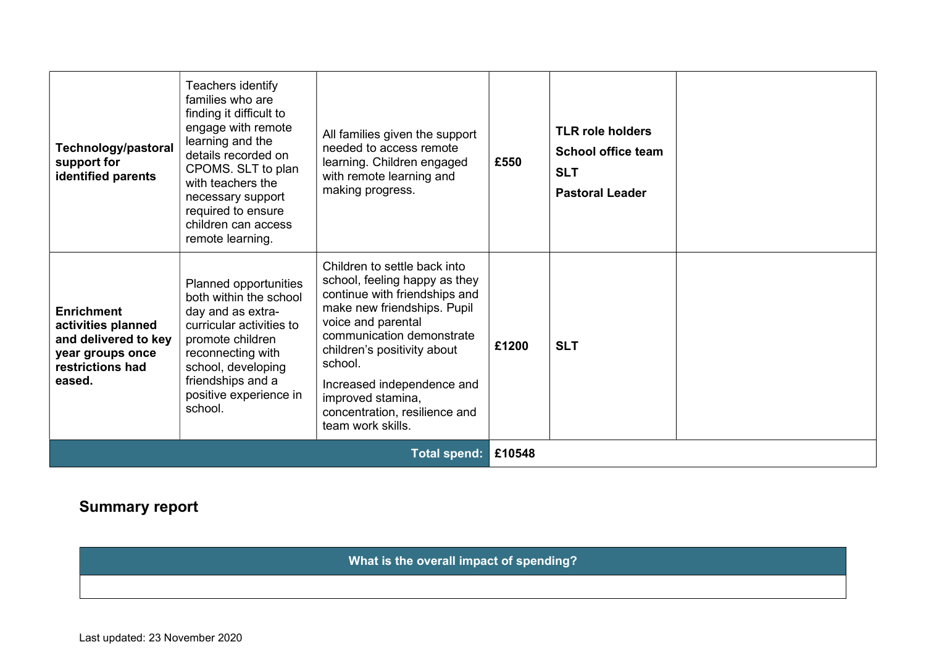| Technology/pastoral<br>support for<br>identified parents                                                          | Teachers identify<br>families who are<br>finding it difficult to<br>engage with remote<br>learning and the<br>details recorded on<br>CPOMS. SLT to plan<br>with teachers the<br>necessary support<br>required to ensure<br>children can access<br>remote learning. | All families given the support<br>needed to access remote<br>learning. Children engaged<br>with remote learning and<br>making progress.                                                                                                                                                                                             | £550   | <b>TLR role holders</b><br><b>School office team</b><br><b>SLT</b><br><b>Pastoral Leader</b> |  |
|-------------------------------------------------------------------------------------------------------------------|--------------------------------------------------------------------------------------------------------------------------------------------------------------------------------------------------------------------------------------------------------------------|-------------------------------------------------------------------------------------------------------------------------------------------------------------------------------------------------------------------------------------------------------------------------------------------------------------------------------------|--------|----------------------------------------------------------------------------------------------|--|
| <b>Enrichment</b><br>activities planned<br>and delivered to key<br>year groups once<br>restrictions had<br>eased. | Planned opportunities<br>both within the school<br>day and as extra-<br>curricular activities to<br>promote children<br>reconnecting with<br>school, developing<br>friendships and a<br>positive experience in<br>school.                                          | Children to settle back into<br>school, feeling happy as they<br>continue with friendships and<br>make new friendships. Pupil<br>voice and parental<br>communication demonstrate<br>children's positivity about<br>school.<br>Increased independence and<br>improved stamina,<br>concentration, resilience and<br>team work skills. | £1200  | <b>SLT</b>                                                                                   |  |
| <b>Total spend:</b>                                                                                               |                                                                                                                                                                                                                                                                    |                                                                                                                                                                                                                                                                                                                                     | £10548 |                                                                                              |  |

# Summary report

What is the overall impact of spending?